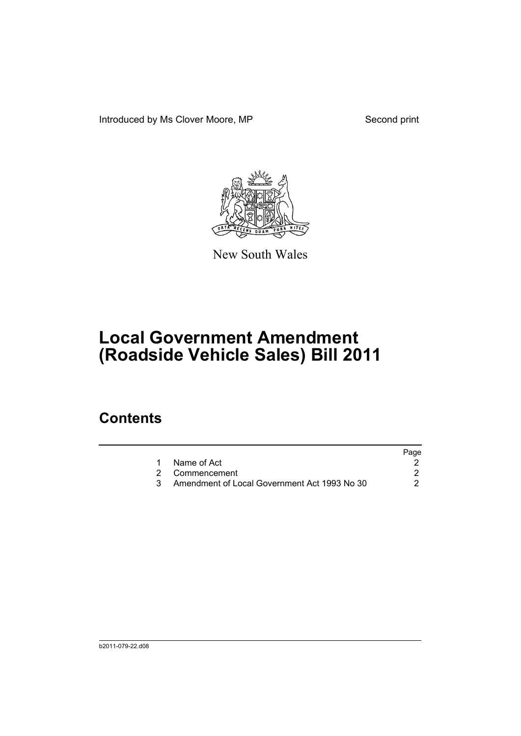Introduced by Ms Clover Moore, MP Second print



New South Wales

## **Local Government Amendment (Roadside Vehicle Sales) Bill 2011**

## **Contents**

|                                              | Page |
|----------------------------------------------|------|
| 1 Name of Act                                |      |
| 2 Commencement                               |      |
| Amendment of Local Government Act 1993 No 30 |      |
|                                              |      |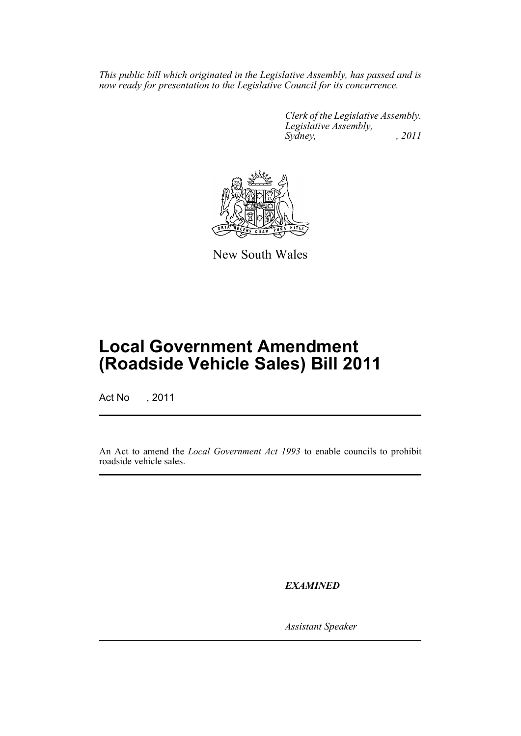*This public bill which originated in the Legislative Assembly, has passed and is now ready for presentation to the Legislative Council for its concurrence.*

> *Clerk of the Legislative Assembly. Legislative Assembly, Sydney, , 2011*



New South Wales

## **Local Government Amendment (Roadside Vehicle Sales) Bill 2011**

Act No , 2011

An Act to amend the *Local Government Act 1993* to enable councils to prohibit roadside vehicle sales.

*EXAMINED*

*Assistant Speaker*